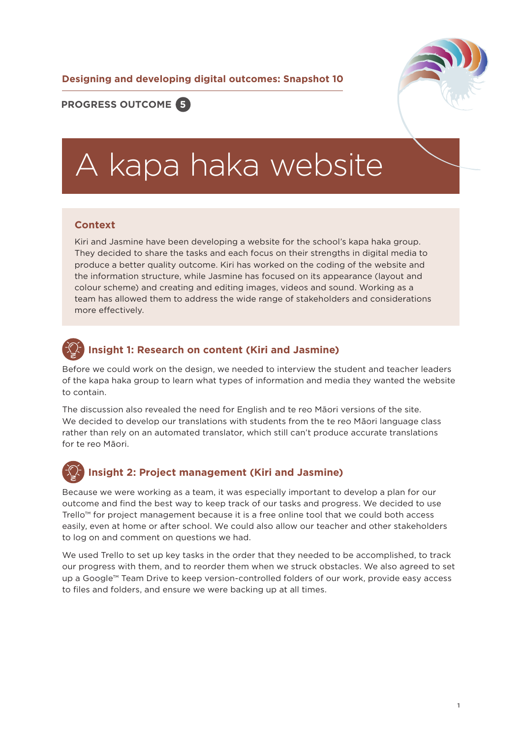**Designing and developing digital outcomes: Snapshot 10**



#### **PROGRESS OUTCOME 5**

# A kapa haka website

#### **Context**

Kiri and Jasmine have been developing a website for the school's kapa haka group. They decided to share the tasks and each focus on their strengths in digital media to produce a better quality outcome. Kiri has worked on the coding of the website and the information structure, while Jasmine has focused on its appearance (layout and colour scheme) and creating and editing images, videos and sound. Working as a team has allowed them to address the wide range of stakeholders and considerations more effectively.

## **Insight 1: Research on content (Kiri and Jasmine)**

Before we could work on the design, we needed to interview the student and teacher leaders of the kapa haka group to learn what types of information and media they wanted the website to contain.

The discussion also revealed the need for English and te reo Māori versions of the site. We decided to develop our translations with students from the te reo Māori language class rather than rely on an automated translator, which still can't produce accurate translations for te reo Māori.



#### **Insight 2: Project management (Kiri and Jasmine)**

Because we were working as a team, it was especially important to develop a plan for our outcome and find the best way to keep track of our tasks and progress. We decided to use Trello™ for project management because it is a free online tool that we could both access easily, even at home or after school. We could also allow our teacher and other stakeholders to log on and comment on questions we had.

We used Trello to set up key tasks in the order that they needed to be accomplished, to track our progress with them, and to reorder them when we struck obstacles. We also agreed to set up a Google™ Team Drive to keep version-controlled folders of our work, provide easy access to files and folders, and ensure we were backing up at all times.